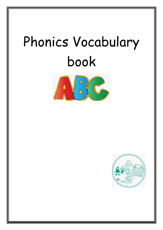## Phonics Vocabulary book



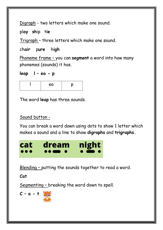Digraph - two letters which make one sound.

pl**ay sh**ip t**ie**

Trigraph – three letters which make one sound.

ch**air** p**ure** h**igh** 

Phoneme frame – you can **segment** a word into how many phonemes (sounds) it has.

**leap l – ea - p**

| ea |  |
|----|--|
|    |  |

The word **leap** has three sounds.

## Sound button -

You can break a word down using dots to show 1 letter which makes a sound and a line to show **digraphs** and **trigraphs.**



Blending – putting the sounds together to read a word.

**Cat**

Segmenting – breaking the word down to spell.

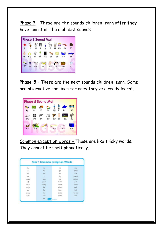Phase 3 – These are the sounds children learn after they have learnt all the alphabet sounds.



**Phase 5** – These are the next sounds children learn. Some are alternative spellings for ones they've already learnt.



Common exception words – These are like tricky words. They cannot be spelt phonetically.

|       |              | <b>Year 1 Common Exception Words</b> |             |
|-------|--------------|--------------------------------------|-------------|
| the   | is.          | no                                   | <b>DFMT</b> |
| $\Xi$ | his          | go                                   | once        |
| do    | has          | 50                                   | ask         |
| to    | i1           | bu                                   | friend      |
| today | UPH.         | mu                                   | school      |
| иf    | <b>UDIAF</b> | here                                 | put         |
| soid  | they         | there                                | push        |
| sous  | be           | where                                | pull        |
| pre   | he           | love                                 | full        |
| were  | mar          | corner                               | house       |
| Willi | she          | some                                 | DUT         |